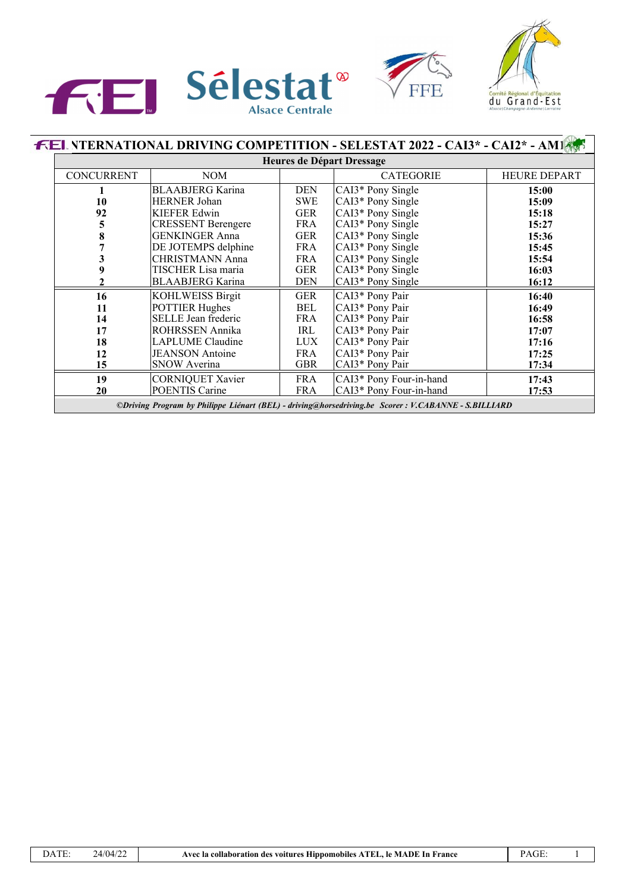





|                                                                                                      | <b>FEL NTERNATIONAL DRIVING COMPETITION - SELESTAT 2022 - CAI3* - CAI2* - AM18</b><br>Heures de Départ Dressage |            |                         |                     |  |  |  |
|------------------------------------------------------------------------------------------------------|-----------------------------------------------------------------------------------------------------------------|------------|-------------------------|---------------------|--|--|--|
|                                                                                                      |                                                                                                                 |            |                         |                     |  |  |  |
| <b>CONCURRENT</b>                                                                                    | NOM                                                                                                             |            | <b>CATEGORIE</b>        | <b>HEURE DEPART</b> |  |  |  |
|                                                                                                      | <b>BLAABJERG</b> Karina                                                                                         | <b>DEN</b> | CAI3* Pony Single       | 15:00               |  |  |  |
| 10                                                                                                   | <b>HERNER Johan</b>                                                                                             | <b>SWE</b> | CAI3* Pony Single       | 15:09               |  |  |  |
| 92                                                                                                   | <b>KIEFER Edwin</b>                                                                                             | <b>GER</b> | CAI3* Pony Single       | 15:18               |  |  |  |
| 5                                                                                                    | <b>CRESSENT Berengere</b>                                                                                       | <b>FRA</b> | CAI3* Pony Single       | 15:27               |  |  |  |
| 8                                                                                                    | <b>GENKINGER Anna</b>                                                                                           | GER        | CAI3* Pony Single       | 15:36               |  |  |  |
|                                                                                                      | DE JOTEMPS delphine                                                                                             | <b>FRA</b> | CAI3* Pony Single       | 15:45               |  |  |  |
|                                                                                                      | <b>CHRISTMANN Anna</b>                                                                                          | <b>FRA</b> | CAI3* Pony Single       | 15:54               |  |  |  |
| 9                                                                                                    | TISCHER Lisa maria                                                                                              | <b>GER</b> | CAI3* Pony Single       | 16:03               |  |  |  |
|                                                                                                      | <b>BLAABJERG</b> Karina                                                                                         | <b>DEN</b> | CAI3* Pony Single       | 16:12               |  |  |  |
| 16                                                                                                   | <b>KOHLWEISS Birgit</b>                                                                                         | GER        | CAI3* Pony Pair         | 16:40               |  |  |  |
| 11                                                                                                   | <b>POTTIER Hughes</b>                                                                                           | BEL        | CAI3* Pony Pair         | 16:49               |  |  |  |
| 14                                                                                                   | SELLE Jean frederic                                                                                             | <b>FRA</b> | CAI3* Pony Pair         | 16:58               |  |  |  |
| 17                                                                                                   | ROHRSSEN Annika                                                                                                 | IRL        | CAI3* Pony Pair         | 17:07               |  |  |  |
| 18                                                                                                   | <b>LAPLUME</b> Claudine                                                                                         | LUX        | CAI3* Pony Pair         | 17:16               |  |  |  |
| 12                                                                                                   | <b>JEANSON</b> Antoine                                                                                          | FRA        | CAI3* Pony Pair         | 17:25               |  |  |  |
| 15                                                                                                   | <b>SNOW Averina</b>                                                                                             | <b>GBR</b> | CAI3* Pony Pair         | 17:34               |  |  |  |
| 19                                                                                                   | <b>CORNIQUET Xavier</b>                                                                                         | <b>FRA</b> | CAI3* Pony Four-in-hand | 17:43               |  |  |  |
| 20                                                                                                   | <b>POENTIS Carine</b>                                                                                           | <b>FRA</b> | CAI3* Pony Four-in-hand | 17:53               |  |  |  |
| ©Driving Program by Philippe Liénart (BEL) - driving@horsedriving.be Scorer : V.CABANNE - S.BILLIARD |                                                                                                                 |            |                         |                     |  |  |  |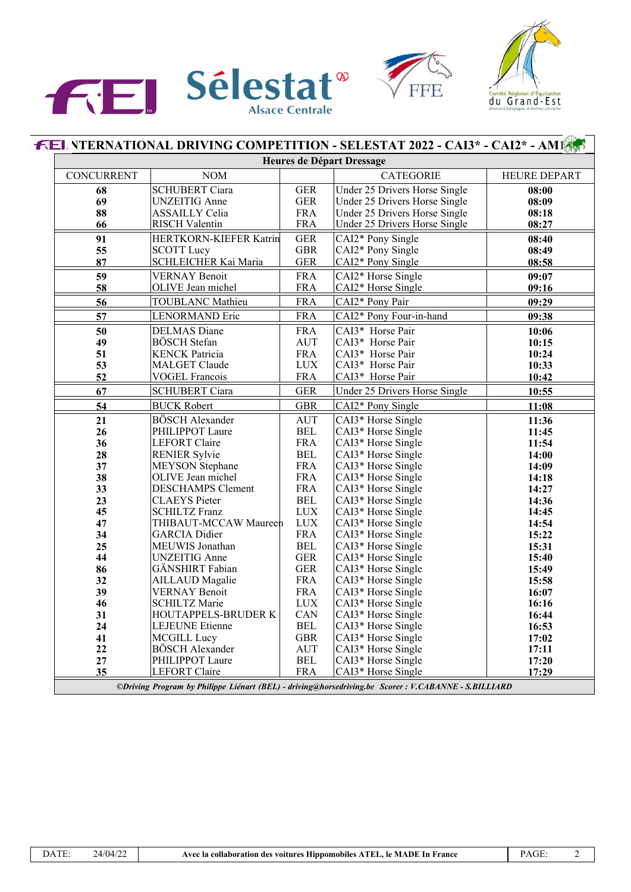





|            | <b>FEL NTERNATIONAL DRIVING COMPETITION - SELESTAT 2022 - CAI3* - CAI2* - AMI</b> |            | Heures de Départ Dressage     |                     |
|------------|-----------------------------------------------------------------------------------|------------|-------------------------------|---------------------|
|            |                                                                                   |            |                               |                     |
| CONCURRENT | <b>NOM</b>                                                                        |            | <b>CATEGORIE</b>              | <b>HEURE DEPART</b> |
| 68         | <b>SCHUBERT Ciara</b>                                                             | <b>GER</b> | Under 25 Drivers Horse Single | 08:00               |
| 69         | <b>UNZEITIG</b> Anne                                                              | <b>GER</b> | Under 25 Drivers Horse Single | 08:09               |
| 88         | <b>ASSAILLY Celia</b>                                                             | <b>FRA</b> | Under 25 Drivers Horse Single | 08:18               |
| 66         | <b>RISCH Valentin</b>                                                             | <b>FRA</b> | Under 25 Drivers Horse Single | 08:27               |
| 91         | HERTKORN-KIEFER Katrin                                                            | <b>GER</b> | CAI2* Pony Single             | 08:40               |
| 55         | <b>SCOTT Lucy</b>                                                                 | <b>GBR</b> | CAI2* Pony Single             | 08:49               |
| 87         | SCHLEICHER Kai Maria                                                              | <b>GER</b> | CAI2* Pony Single             | 08:58               |
| 59         | <b>VERNAY Benoit</b>                                                              | <b>FRA</b> | CAI2* Horse Single            | 09:07               |
| 58         | OLIVE Jean michel                                                                 | <b>FRA</b> | CAI2* Horse Single            | 09:16               |
| 56         | <b>TOUBLANC</b> Mathieu                                                           | <b>FRA</b> | CAI2* Pony Pair               | 09:29               |
| 57         | LENORMAND Eric                                                                    | <b>FRA</b> | CAI2* Pony Four-in-hand       | 09:38               |
| 50         | <b>DELMAS</b> Diane                                                               | <b>FRA</b> | CAI3* Horse Pair              | 10:06               |
| 49         | BÖSCH Stefan                                                                      | <b>AUT</b> | CAI3* Horse Pair              | 10:15               |
| 51         | <b>KENCK Patricia</b>                                                             | <b>FRA</b> | CAI3* Horse Pair              | 10:24               |
| 53         | <b>MALGET Claude</b>                                                              | <b>LUX</b> | CAI3* Horse Pair              | 10:33               |
| 52         | <b>VOGEL Francois</b>                                                             | <b>FRA</b> | CAI3* Horse Pair              | 10:42               |
| 67         | <b>SCHUBERT Ciara</b>                                                             | <b>GER</b> | Under 25 Drivers Horse Single | 10:55               |
| 54         | <b>BUCK Robert</b>                                                                | <b>GBR</b> | CAI2* Pony Single             | 11:08               |
| 21         | <b>BÖSCH</b> Alexander                                                            | <b>AUT</b> | CAI3* Horse Single            | 11:36               |
| 26         | PHILIPPOT Laure                                                                   | <b>BEL</b> | CAI3* Horse Single            | 11:45               |
| 36         | <b>LEFORT Claire</b>                                                              | <b>FRA</b> | CAI3* Horse Single            | 11:54               |
| 28         | <b>RENIER Sylvie</b>                                                              | <b>BEL</b> | CAI3* Horse Single            | 14:00               |
| 37         | <b>MEYSON</b> Stephane                                                            | <b>FRA</b> | CAI3* Horse Single            | 14:09               |
| 38         | OLIVE Jean michel                                                                 | <b>FRA</b> | CAI3* Horse Single            | 14:18               |
| 33         | <b>DESCHAMPS Clement</b>                                                          | <b>FRA</b> | CAI3* Horse Single            | 14:27               |
| 23         | <b>CLAEYS</b> Pieter                                                              | <b>BEL</b> | CAI3* Horse Single            | 14:36               |
| 45         | <b>SCHILTZ Franz</b>                                                              | <b>LUX</b> | CAI3* Horse Single            | 14:45               |
| 47         | THIBAUT-MCCAW Maureen                                                             | <b>LUX</b> | CAI3* Horse Single            | 14:54               |
| 34         | <b>GARCIA</b> Didier                                                              | <b>FRA</b> | CAI3* Horse Single            | 15:22               |
| 25         | MEUWIS Jonathan                                                                   | <b>BEL</b> | CAI3* Horse Single            | 15:31               |
| 44         | <b>UNZEITIG</b> Anne                                                              | <b>GER</b> | CAI3* Horse Single            | 15:40               |
| 86         | GÄNSHIRT Fabian                                                                   | <b>GER</b> | CAI3* Horse Single            | 15:49               |
| 32         | <b>AILLAUD</b> Magalie                                                            | <b>FRA</b> | CAI3* Horse Single            | 15:58               |
| 39         | <b>VERNAY Benoit</b>                                                              | <b>FRA</b> | CAI3* Horse Single            | 16:07               |
| 46         | <b>SCHILTZ Marie</b>                                                              | <b>LUX</b> | CAI3* Horse Single            | 16:16               |
| 31         | HOUTAPPELS-BRUDER K                                                               | CAN        | CAI3* Horse Single            | 16:44               |
| 24         | LEJEUNE Etienne                                                                   | <b>BEL</b> | CAI3* Horse Single            | 16:53               |
| 41         | MCGILL Lucy                                                                       | <b>GBR</b> | CAI3* Horse Single            | 17:02               |
| 22         | <b>BÖSCH Alexander</b>                                                            | AUT        | CAI3* Horse Single            | 17:11               |
| 27         | PHILIPPOT Laure                                                                   | BEL        | CAI3* Horse Single            | 17:20               |
| 35         | <b>LEFORT</b> Claire                                                              | <b>FRA</b> | CAI3* Horse Single            | 17:29               |